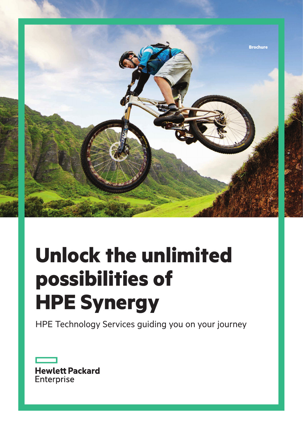

# **Unlock the unlimited possibilities of HPE Synergy**

HPE Technology Services guiding you on your journey

**Hewlett Packard** Enterprise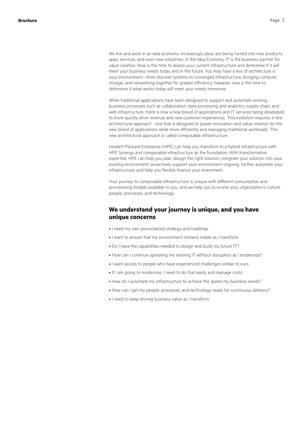value creation. Now is the time to assess your current infrastructure and determine if it will meet your business needs today and in the future. You may have a mix of architecture in your environment—from discreet systems to converged infrastructure, bringing compute, storage, and networking together for greater efficiency; however, now is the time to determine if what works today will meet your needs tomorrow.

While traditional applications have been designed to support and automate existing business processes such as collaboration, data processing and analytics, supply chain, and web infrastructure, there is now a new breed of applications and IT services being developed to more quickly drive revenue and new customer experiences. This evolution requires a new architectural approach - one that is designed to power innovation and value creation for the new breed of applications while more efficiently and managing traditional workloads. This new architectural approach is called composable infrastructure.

Hewlett Packard Enterprise (HPE) can help you transform to a hybrid infrastructure with HPE Synergy and composable infrastructure as the foundation. With transformation expertise, HPE can help you plan, design the right solution, integrate your solution into your existing environment, proactively support your environment ongoing, further automate your infrastructure, and help you flexibly finance your investment.

Your journey to composable infrastructure is unique with different consumption and provisioning models available to you, and we help you to evolve your organization's culture, people, processes, and technology.

## **We understand your journey is unique, and you have unique concerns**

- I need my own personalized strategy and roadmap.
- I want to ensure that my environment remains stable as I transform.
- Do I have the capabilities needed to design and build my future IT?
- How can I continue operating my existing IT without disruption as I modernize?
- I want access to people who have experienced challenges similar to ours.
- If I am going to modernize, I need to do that easily and manage costs.
- How do I automate my infrastructure to achieve the speed my business needs?
- How can I get my people, processes, and technology ready for continuous delivery?
- I need to keep driving business value as I transform.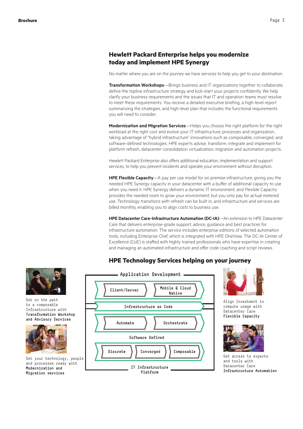## **Hewlett Packard Enterprise helps you modernize today and implement HPE Synergy**

No matter where you are on the journey we have services to help you get to your destination:

**Transformation Workshops**—Brings business and IT organizations together to collaborate, define the topline infrastructure strategy and kick-start your projects confidently. We help clarify your business requirements and the issues that IT and operation teams must resolve to meet these requirements. You receive a detailed executive briefing, a high-level report summarizing the strategies, and high-level plan that includes the functional requirements you will need to consider.

**Modernization and Migration Services**—Helps you choose the right platform for the right workload at the right cost and evolve your IT infrastructure, processes and organization, taking advantage of "hybrid infrastructure" innovations such as composable, converged, and software-defined technologies. HPE experts advise, transform, integrate and implement for platform refresh, datacenter consolidation virtualization, migration and automation projects.

Hewlett Packard Enterprise also offers additional education, implementation and support services, to help you prevent incidents and operate your environment without disruption.

**HPE Flexible Capacity**—A pay per use model for on premise infrastructure, giving you the needed HPE Synergy capacity in your datacenter with a buffer of additional capacity to use when you need it. HPE Synergy delivers a dynamic IT environment, and Flexible Capacity provides the needed room to grow your environment, but you only pay for actual metered use. Technology transitions with refresh can be built in, and infrastructure and services are billed monthly, enabling you to align costs to business use.

**HPE Datacenter Care-Infrastructure Automation (DC-IA)**—An extension to HPE Datacenter Care that delivers enterprise-grade support, advice, guidance and best practices for infrastructure automation. The service includes enterprise editions of selected automation tools, including Enterprise Chef, which is integrated with HPE OneView. The DC-IA Center of Excellence (CoE) is staffed with highly trained professionals who have expertise in creating and managing an automated infrastructure and offer code coaching and script reviews.

# **HPE Technology Services helping on your journey**





Align Investment to compute usage with Datacenter Care **Flexible Capacity**



Get access to experts and tools with Datacenter Care **Infrastructure Automation**



Get on the path to a composable Infrastructure with **Transformation Workshop and Advisory Services**



Get your technology, people and processes ready with **Modernization and Migration services**